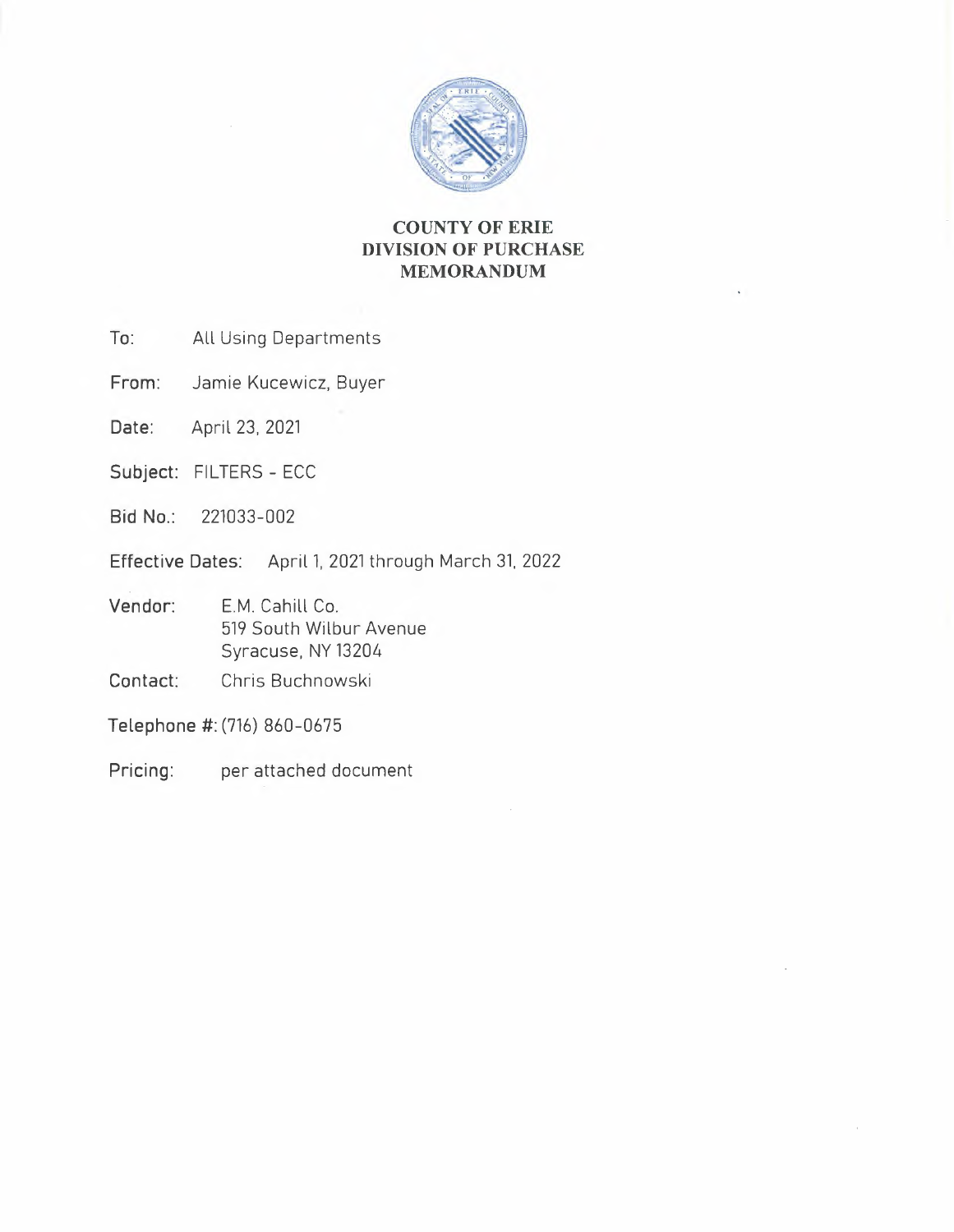

# **COUNTY OF ERIE DIVISION OF PURCHASE MEMORANDUM**

- **To:** All Using Departments
- **From:** Jamie Kucewicz, Buyer
- **Date:** April 23, 2021
- Subject: FILTERS ECC
- **Bid No.:** 221033-002
- **Effective Dates:** April 1, 2021 through March 31, 2022
- **Vendor:**  E.M. Cahill Co. 519 South Wilbur Avenue Syracuse, NY13204
- **Contact:**  Chris Buchnowski
- **Telephone** #: (716) 860-0675
- **Pricing:**  per attached document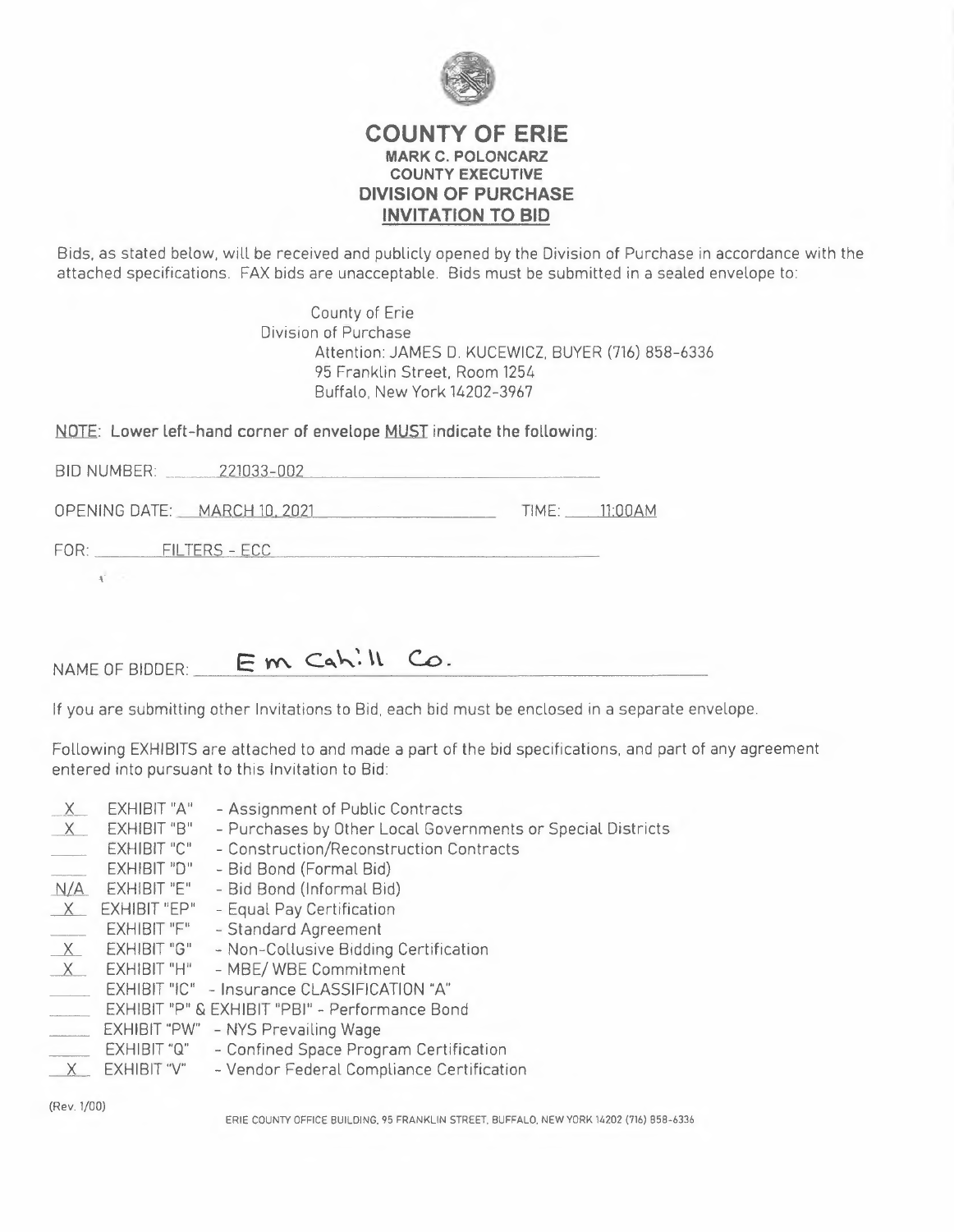

## **COUNTY OF ERIE MARK C. POLONCARZ COUNTY EXECUTIVE DIVISION OF PURCHASE INVITATION TO BID**

Bids, as stated below, will be received and publicly opened by the Division of Purchase in accordance with the attached specifications. FAX bids are unacceptable. Bids must be submitted in a sealed envelope to:

> County of Erie Division of Purchase Attention: JAMES D. KUCEWICZ, BUYER (716) 858-6336 95 Franklin Street. Room 1254 Buffalo, New York 14202-3967

|                    | NOTE: Lower left-hand corner of envelope MUST indicate the following: |
|--------------------|-----------------------------------------------------------------------|
| <b>BID NUMBER:</b> | 221033-002                                                            |

OPENING DATE: MARCH 10. 20 TIME: ll'OOAM FOR: --~F~I-L T~E~R,.,,, Sc,\_- \_ \_\_,E...,,C=C,\_\_\_\_\_ \_

 $NAME OF BIDDER:$   $\quad \quad \text{Em } C_4 h^! W^!$   $\quad \quad \text{Co}.$ 

If you are submitting other Invitations to Bid, each bid must be enclosed in a separate envelope.

Following EXHIBITS are attached to and made a part of the bid specifications, and part of any agreement entered into pursuant to this Invitation to Bid

| <u>X.</u><br>$\times$ | <b>EXHIBIT "A"</b><br>EXHIBIT "B" | - Assignment of Public Contracts<br>- Purchases by Other Local Governments or Special Districts |
|-----------------------|-----------------------------------|-------------------------------------------------------------------------------------------------|
|                       | <b>EXHIBIT "C"</b>                |                                                                                                 |
|                       |                                   | - Construction/Reconstruction Contracts                                                         |
|                       | EXHIBIT "D"                       | - Bid Bond (Formal Bid)                                                                         |
| N/A                   | EXHIBIT "E"                       | - Bid Bond (Informal Bid)                                                                       |
| X                     | <b>EXHIBIT "EP"</b>               | - Equal Pay Certification                                                                       |
|                       | EXHIBIT "F"                       | - Standard Agreement                                                                            |
| X                     | EXHIBIT "G"                       | - Non-Collusive Bidding Certification                                                           |
| $\times$              | EXHIBIT "H"                       | - MBE/ WBE Commitment                                                                           |
|                       |                                   | EXHIBIT "IC" - Insurance CLASSIFICATION "A"                                                     |
|                       |                                   | EXHIBIT "P" & EXHIBIT "PBI" - Performance Bond                                                  |
|                       |                                   | EXHIBIT "PW" - NYS Prevailing Wage                                                              |
|                       | <b>EXHIBIT "Q"</b>                | - Confined Space Program Certification                                                          |
|                       | EXHIBIT "V"                       | - Vendor Federal Compliance Certification                                                       |
|                       |                                   |                                                                                                 |

(Rev. 1/00)

ERIE COUNTY OFFICE BUILDING. 95 FRANKLIN STREET. BUFFALO. NEW YORK 14202 (716) 858-6336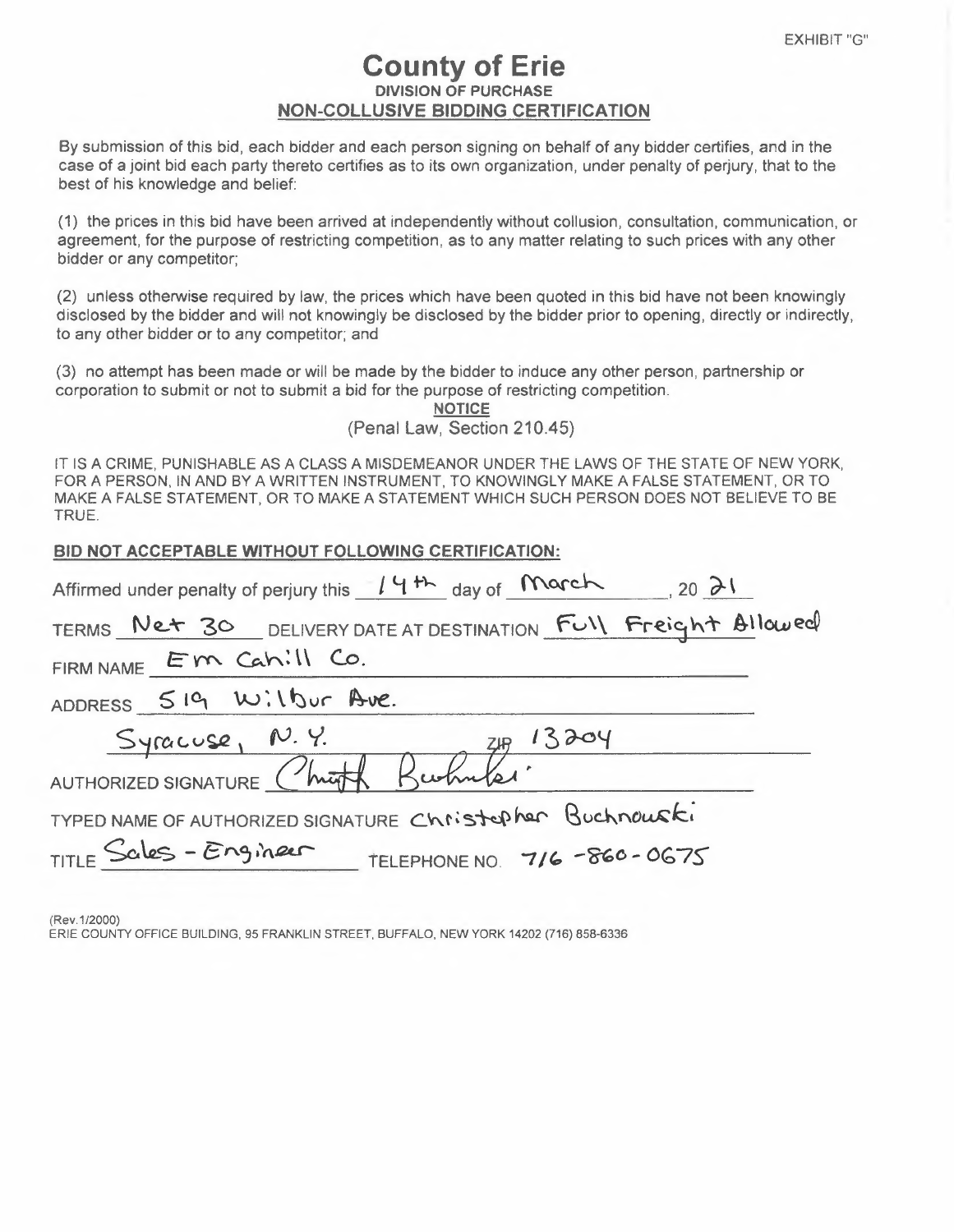# **County of Erie DIVISION OF PURCHASE NON-COLLUSIVE BIDDING CERTIFICATION**

By submission of this bid, each bidder and each person signing on behalf of any bidder certifies, and in the case of a joint bid each party thereto certifies as to its own organization, under penalty of perjury, that to the best of his knowledge and belief:

(1) the prices in this bid have been arrived at independently without collusion, consultation, communication, or agreement, for the purpose of restricting competition, as to any matter relating to such prices with any other bidder or any competitor;

(2) unless otherwise required by law, the prices which have been quoted in this bid have not been knowingly disclosed by the bidder and will not knowingly be disclosed by the bidder prior to opening, directly or indirectly, to any other bidder or to any competitor; and

(3) no attempt has been made or will be made by the bidder to induce any other person, partnership or corporation to submit or not to submit a bid for the purpose of restricting competition.

**NOTICE**  (Penal Law, Section 210.45)

IT IS A CRIME, PUNISHABLE AS A CLASS A MISDEMEANOR UNDER THE LAWS OF THE STATE OF NEW YORK, FOR A PERSON, IN AND BY A WRITTEN INSTRUMENT, TO KNOWINGLY MAKE A FALSE STATEMENT, OR TO MAKE A FALSE STATEMENT, OR TO MAKE A STATEMENT WHICH SUCH PERSON DOES NOT BELIEVE TO BE TRUE.

| BID NOT ACCEPTABLE WITHOUT FOLLOWING CERTIFICATION:               |
|-------------------------------------------------------------------|
| Affirmed under penalty of perjury this $14H$ day of March 20 $31$ |
| TERMS Net 30 DELIVERY DATE AT DESTINATION Full Freight Allowed    |
| FIRM NAME EM Cahill Co.                                           |
| ADDRESS 519 Wilbur Ave.                                           |
| Syracuse, N.Y.<br>ZH 13204                                        |
| AUTHORIZED SIGNATURE Christ Bushmeler                             |
| TYPED NAME OF AUTHORIZED SIGNATURE Christopher Buchnouski         |
| TITLE Sales - Engineer<br>$-$ TELEPHONE NO. 716 -860 - 0675       |

(Rev.1/2000) ERIE COUNTY OFFICE BUILDING, 95 FRANKLIN STREET, BUFFALO, NEW YORK 14202 (716) 858-6336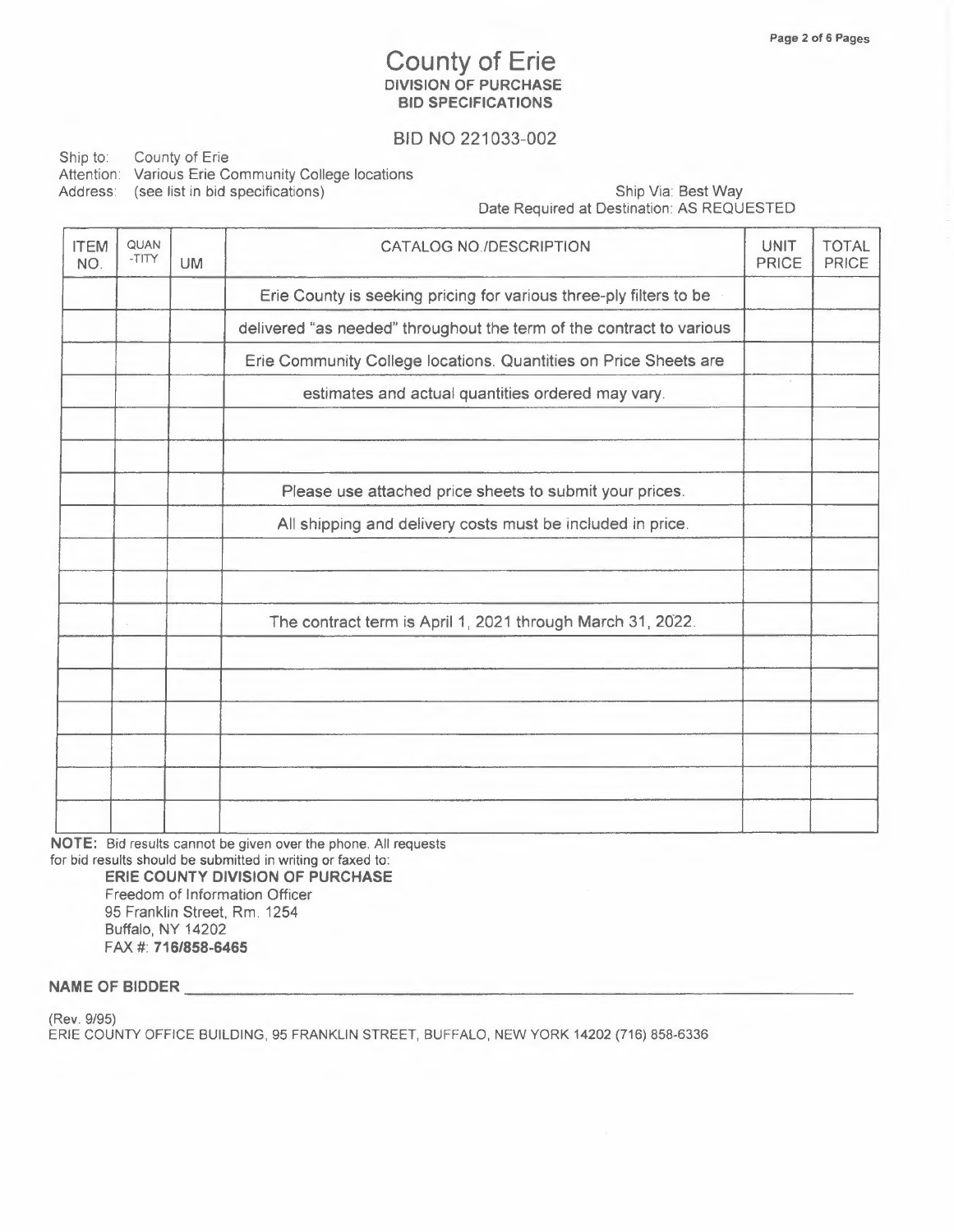## **County of Erie DIVISION OF PURCHASE BID SPECIFICATIONS**

## BID NO 221033-002

Ship to: County of Erie Attention: Various Erie Community College locations Address: (see list in bid specifications) Ship Via: Best Way

Date Required at Destination: AS REQUESTED

| <b>ITEM</b><br>NO. | QUAN<br>$-TITY$ | <b>UM</b> | <b>CATALOG NO./DESCRIPTION</b>                                       | <b>UNIT</b><br><b>PRICE</b> | TOTAL<br><b>PRICE</b> |
|--------------------|-----------------|-----------|----------------------------------------------------------------------|-----------------------------|-----------------------|
|                    |                 |           | Erie County is seeking pricing for various three-ply filters to be   |                             |                       |
|                    |                 |           | delivered "as needed" throughout the term of the contract to various |                             |                       |
|                    |                 |           | Erie Community College locations. Quantities on Price Sheets are     |                             |                       |
|                    |                 |           | estimates and actual quantities ordered may vary.                    |                             |                       |
|                    |                 |           |                                                                      |                             |                       |
|                    |                 |           | Please use attached price sheets to submit your prices.              |                             |                       |
|                    |                 |           | All shipping and delivery costs must be included in price.           |                             |                       |
|                    |                 |           |                                                                      |                             |                       |
|                    |                 |           | The contract term is April 1, 2021 through March 31, 2022.           |                             |                       |
|                    |                 |           |                                                                      |                             |                       |
|                    |                 |           |                                                                      |                             |                       |
|                    |                 |           |                                                                      |                             |                       |
|                    |                 |           |                                                                      |                             |                       |
|                    |                 |           |                                                                      |                             |                       |

**NOTE:** Bid results cannot be given over the phone. All requests

for bid results should be submitted in writing or faxed to:

**ERIE COUNTY DIVISION OF PURCHASE**  Freedom of Information Officer 95 Franklin Street, Rm. 1254 Buffalo, NY 14202 FAX#: **716/858-6465** 

**NAME OF BIDDER \_** 

(Rev. 9/95) ERIE COUNTY OFFICE BUILDING, 95 FRANKLIN STREET, BUFFALO, NEW YORK 14202 (716) 858-6336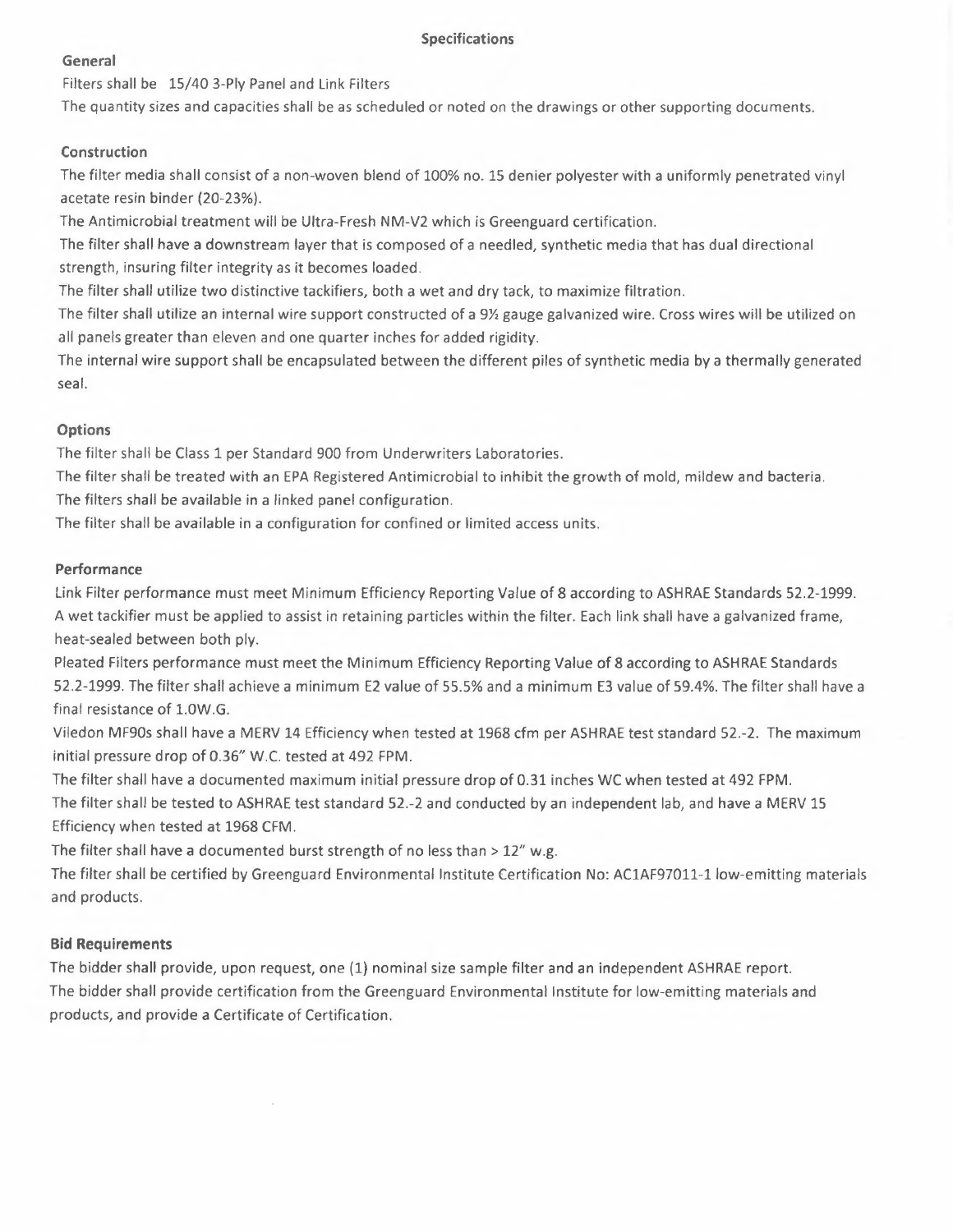#### **Specifications**

#### **General**

Filters shall be 15/40 3-Ply Panel and Link Filters

The quantity sizes and capacities shall be as scheduled or noted on the drawings or other supporting documents.

### **Construction**

The filter media shall consist of a non-woven blend of 100% no. 15 denier polyester with a uniformly penetrated vinyl acetate resin binder (20-23%).

The Antimicrobial treatment will be Ultra-Fresh NM-V2 which is Greenguard certification.

The filter shall have a downstream layer that is composed of a needled, synthetic media that has dual directional strength, insuring filter integrity as it becomes loaded.

The filter shall utilize two distinctive tackifiers, both a wet and dry tack, to maximize filtration.

The filter shall utilize an internal wire support constructed of a 9½ gauge galvanized wire. Cross wires will be utilized on all panels greater than eleven and one quarter inches for added rigidity.

The internal wire support shall be encapsulated between the different piles of synthetic media by a thermally generated seal.

### **Options**

The filter shall be Class 1 per Standard 900 from Underwriters Laboratories.

The filter shall be treated with an EPA Registered Antimicrobial to inhibit the growth of mold, mildew and bacteria. The filters shall be available in a linked panel configuration.

The filter shall be available in a configuration for confined or limited access units.

### **Performance**

Link Filter performance must meet Minimum Efficiency Reporting Value of 8 according to ASHRAE Standards 52.2-1999. A wet tackifier must be applied to assist in retaining particles within the filter. Each link shall have a galvanized frame, heat-sealed between both ply.

Pleated Filters performance must meet the Minimum Efficiency Reporting Value of 8 according to ASHRAE Standards 52.2-1999. The filter shall achieve a minimum E2 value of 55.5% and a minimum E3 value of 59.4%. The filter shall have a final resistance of 1.0W.G.

Viledon MF90s shall have a MERV 14 Efficiency when tested at 1968 cfm per ASHRAE test standard 52.-2. The maximum initial pressure drop of 0.36" W.C. tested at 492 FPM.

The filter shall have a documented maximum initial pressure drop of 0.31 inches WC when tested at 492 FPM. The filter shall be tested to ASHRAE test standard 52.-2 and conducted by an independent lab, and have a MERV 15 Efficiency when tested at 1968 CFM.

The filter shall have a documented burst strength of no less than  $> 12''$  w.g.

The filter shall be certified by Greenguard Environmental Institute Certification No: AC1AF97011-1 low-emitting materials and products.

## **Bid Requirements**

The bidder shall provide, upon request, one (1) nominal size sample filter and an independent ASHRAE report. The bidder shall provide certification from the Greenguard Environmental Institute for low-emitting materials and products, and provide a Certificate of Certification.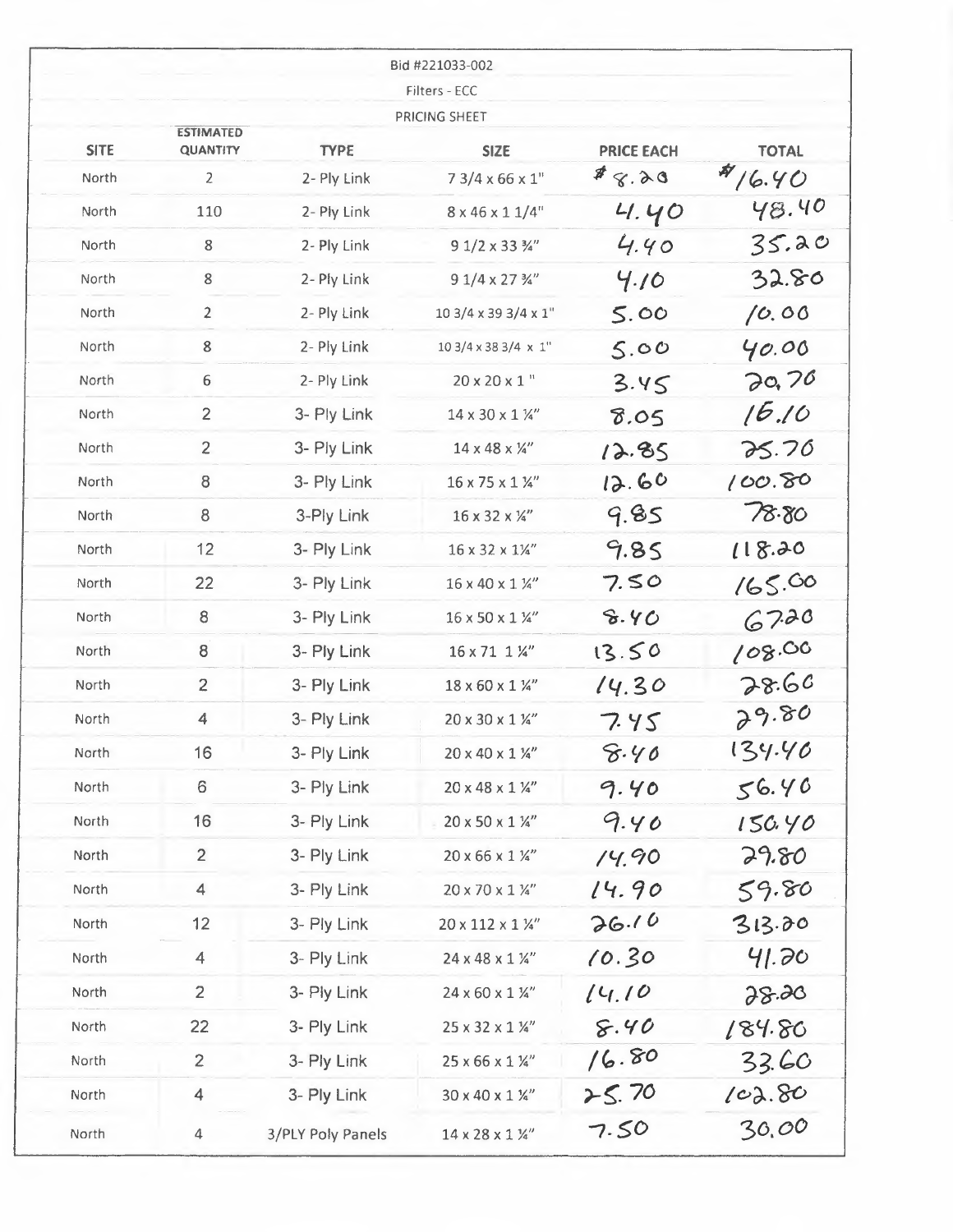|             |                                     |                   | Bid #221033-002                |                   |              |
|-------------|-------------------------------------|-------------------|--------------------------------|-------------------|--------------|
|             |                                     |                   | Filters - ECC<br>PRICING SHEET |                   |              |
| <b>SITE</b> | <b>ESTIMATED</b><br><b>QUANTITY</b> | <b>TYPE</b>       | <b>SIZE</b>                    | <b>PRICE EACH</b> | <b>TOTAL</b> |
| North       | $\overline{2}$                      | 2- Ply Link       | $73/4 \times 66 \times 1$ "    | 8.28              | 416.40       |
| North       | 110                                 | 2- Ply Link       | $8 \times 46 \times 11/4$ "    | 4.40              | 48.40        |
| North       | 8                                   | 2- Ply Link       | 9 1/2 x 33 3/4"                | 4.40              | 35.20        |
| North       | 8                                   | 2- Ply Link       | 9 1/4 x 27 3/4"                | 4.10              | 32.80        |
| North       | $\overline{2}$                      | 2- Ply Link       | 10 3/4 x 39 3/4 x 1"           | 5.00              | 10.00        |
| North       | 8                                   | 2- Ply Link       | 10 3/4 x 38 3/4 x 1"           | 5.00              | 40.00        |
| North       | $6\,$                               | 2- Ply Link       | 20 x 20 x 1"                   | 3.45              | 20,70        |
| North       | $\overline{2}$                      | 3- Ply Link       | 14 x 30 x 1 1/4"               | 8.05              | 16.10        |
| North       | $\overline{2}$                      | 3- Ply Link       | 14 x 48 x 1/4"                 | 12.85             | 25.70        |
| North       | $\bf8$                              | 3- Ply Link       | 16 x 75 x 1 1/4"               | 12.60             | 100.80       |
| North       | 8                                   | 3-Ply Link        | 16 x 32 x 1/4"                 | 9.85              | 78.80        |
| North       | 12                                  | 3- Ply Link       | 16 x 32 x 11/4"                | 9.85              | 118.20       |
| North       | 22                                  | 3- Ply Link       | 16 x 40 x 1 1/4"               | 7.50              | 165.00       |
| North       | 8                                   | 3- Ply Link       | 16 x 50 x 1 1/4"               | 8.40              | 67.20        |
| North       | 8                                   | 3- Ply Link       | 16 x 71 1 1/4"                 | 13.50             | 108.00       |
| North       | $\overline{2}$                      | 3- Ply Link       | 18 x 60 x 1 1/4"               | 14.30             | 28.60        |
| North       | $\overline{4}$                      | 3- Ply Link       | 20 x 30 x 1 1/4"               | 7.45              | 29.80        |
| North       | 16                                  | 3- Ply Link       | 20 x 40 x 1 1/4"               | 8.40              | 134.40       |
| North       | 6                                   | 3- Ply Link       | 20 x 48 x 1 1/4"               | 9.40              | 56.40        |
| North       | 16                                  | 3- Ply Link       | 20 x 50 x 1 1/4"               | 9.40              | 150.40       |
| North       | $\overline{2}$                      | 3- Ply Link       | 20 x 66 x 1 1/4"               | 14.90             | 29.80        |
| North       | 4                                   | 3- Ply Link       | 20 x 70 x 1 1/4"               | 14.90             | 59.80        |
| North       | 12                                  | 3- Ply Link       | 20 x 112 x 1 1/4"              | 26.10             | 313.00       |
| North       | 4                                   | 3- Ply Link       | 24 x 48 x 1 1/4"               | 10.30             | 41.70        |
| North       | $\overline{2}$                      | 3- Ply Link       | 24 x 60 x 1 1/4"               | 14.10             | 28.20        |
| North       | 22                                  | 3- Ply Link       | 25 x 32 x 1 1/4"               | 8.40              | 184.80       |
| North       | $\overline{2}$                      | 3- Ply Link       | 25 x 66 x 1 1/4"               | 16.80             | 33.60        |
| North       | 4                                   | 3- Ply Link       | 30 x 40 x 1 ¼"                 | 25.70             | 102.80       |
| North       | $\overline{4}$                      | 3/PLY Poly Panels | 14 x 28 x 1 1/4"               | 7.50              | 30,00        |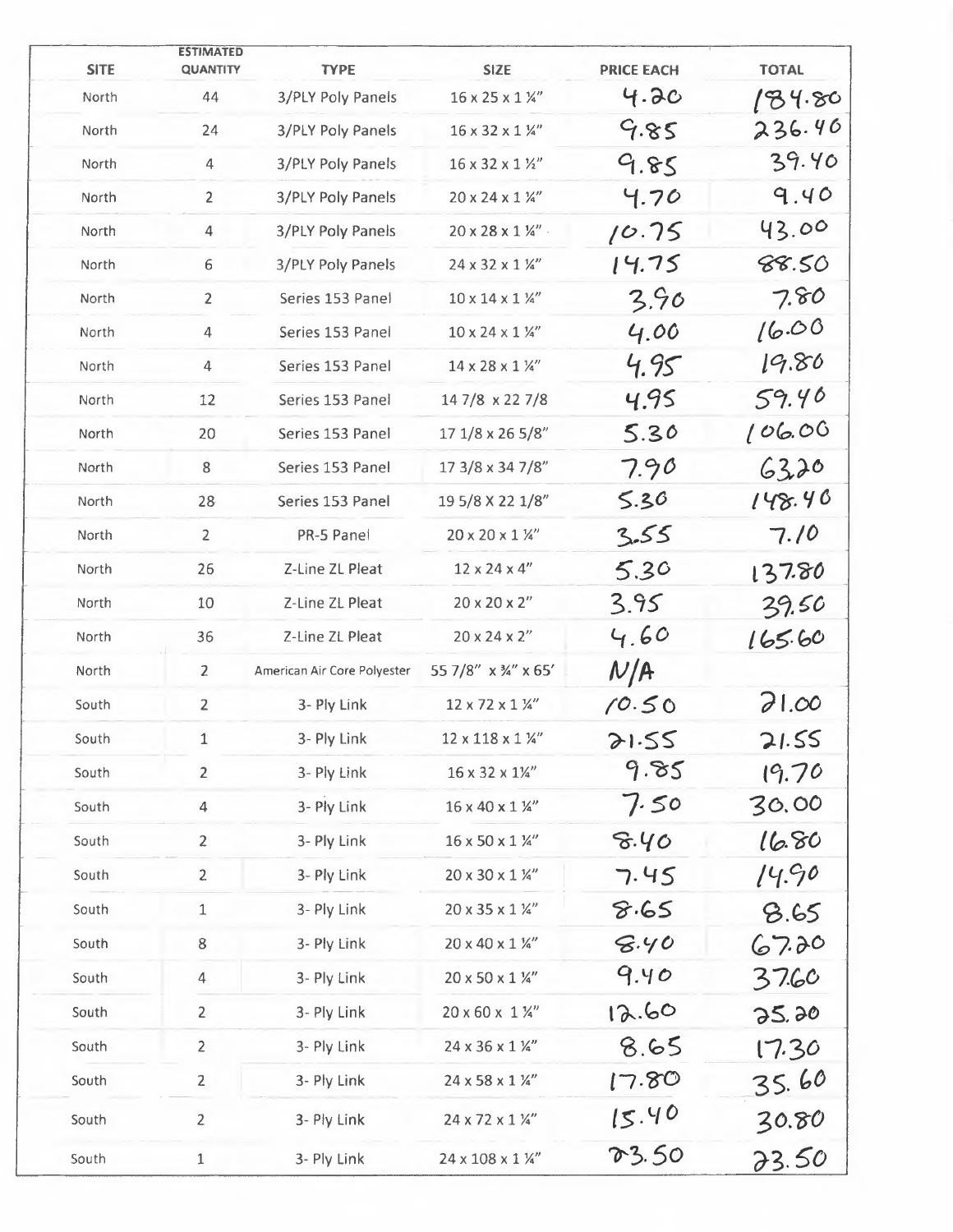|                      | <b>ESTIMATED</b>      |                                  |                                        |                           |                  |
|----------------------|-----------------------|----------------------------------|----------------------------------------|---------------------------|------------------|
| <b>SITE</b><br>North | <b>QUANTITY</b><br>44 | <b>TYPE</b><br>3/PLY Poly Panels | <b>SIZE</b><br>16 x 25 x 1 1/4"        | <b>PRICE EACH</b><br>4.2c | <b>TOTAL</b>     |
|                      | 24                    | 3/PLY Poly Panels                | 16 x 32 x 1 1/4"                       | 9.85                      | 184.80<br>236.46 |
| North                |                       |                                  |                                        |                           | 39.40            |
| North                | $\overline{4}$        | 3/PLY Poly Panels                | 16 x 32 x 1 1/2"                       | 9.85                      |                  |
| North                | $\overline{2}$        | <b>3/PLY Poly Panels</b>         | 20 x 24 x 1 1/4"                       | 4.70                      | 9.40             |
| North                | $\overline{4}$        | 3/PLY Poly Panels                | $20 \times 28 \times 1$ 1/4".          | 10.75                     | 43.00            |
| North                | 6                     | 3/PLY Poly Panels                | 24 x 32 x 1 1/4"                       | 14.75                     | 88.50            |
| North                | $\overline{2}$        | Series 153 Panel                 | $10 \times 14 \times 1$ %"             | 3.90                      | 7.80             |
| North                | 4                     | Series 153 Panel                 | $10 \times 24 \times 1$ 1/4"           | 4.00                      | 16.00            |
| North                | 4                     | Series 153 Panel                 | 14 x 28 x 1 1/4"                       | 4.95                      | 19.80            |
| North                | 12                    | Series 153 Panel                 | 147/8 x 227/8                          | 4.95                      | 59.40            |
| North                | 20                    | Series 153 Panel                 | 17 1/8 x 26 5/8"                       | 5.30                      | 106.00           |
| North                | 8                     | Series 153 Panel                 | 17 3/8 x 34 7/8"                       | 7.90                      | 6320             |
| North                | 28                    | Series 153 Panel                 | 19 5/8 X 22 1/8"                       | 5.36                      | 148.40           |
| North                | $\overline{2}$        | PR-5 Panel                       | $20 \times 20 \times 1$ 1/4"           | 3.55                      | 7.10             |
| North                | 26                    | Z-Line ZL Pleat                  | $12 \times 24 \times 4$ "              | 5.30                      | 137.80           |
| North                | 10                    | Z-Line ZL Pleat                  | $20 \times 20 \times 2$ "              | 3.95                      | 39.50            |
| North                | 36                    | Z-Line ZL Pleat                  | 20 x 24 x 2"                           | 4.60                      | 165.60           |
| North                | $\overline{2}$        | American Air Core Polyester      | 55 7/8" x 3/4" x 65'                   | N/A                       |                  |
| South                | $\overline{2}$        | 3- Ply Link                      | 12 x 72 x 1 1/4"                       | 10.50                     | 71.00            |
| South                | $\mathbf{1}$          | 3- Ply Link                      | $12 \times 118 \times 1$ $\frac{1}{4}$ | 21.55                     | 21.55            |
| South                | $\overline{2}$        | 3- Ply Link                      | 16 x 32 x 11/4"                        | 9.85                      | 19.70            |
| South                | $\overline{4}$        | 3- Ply Link                      | 16 x 40 x 1 1/4"                       | 7.50                      | 30.00            |
| South                | $\overline{2}$        | 3- Ply Link                      | 16 x 50 x 1 1/4"                       | 8.40                      | 16.80            |
| South                | $\overline{c}$        | 3- Ply Link                      | 20 x 30 x 1 1/4"                       | 7.45                      | 14.90            |
| South                | $\mathbf{1}$          | 3- Ply Link                      | 20 x 35 x 1 1/4"                       | 8.65                      | 8.65             |
| South                | 8                     | 3- Ply Link                      | 20 x 40 x 1 1/4"                       | 8.40                      | 67.20            |
| South                | 4                     | 3- Ply Link                      | 20 x 50 x 1 1/4"                       | 9.40                      | 37.60            |
| South                | $\overline{2}$        | 3- Ply Link                      | 20 x 60 x 1 1/4"                       | 12.60                     | 25.20            |
| South                | 2                     | 3- Ply Link                      | 24 x 36 x 1 1/4"                       | 8.65                      | 17.30            |
| South                | $\overline{2}$        | 3- Ply Link                      | 24 x 58 x 1 1/4"                       | 17.80                     | 35.60            |
| South                | $\overline{2}$        | 3- Ply Link                      | 24 x 72 x 1 1/4"                       | 15.40                     | 30.80            |
| South                | 1                     | 3- Ply Link                      | 24 x 108 x 1 1/4"                      | 03.50                     | 23.50            |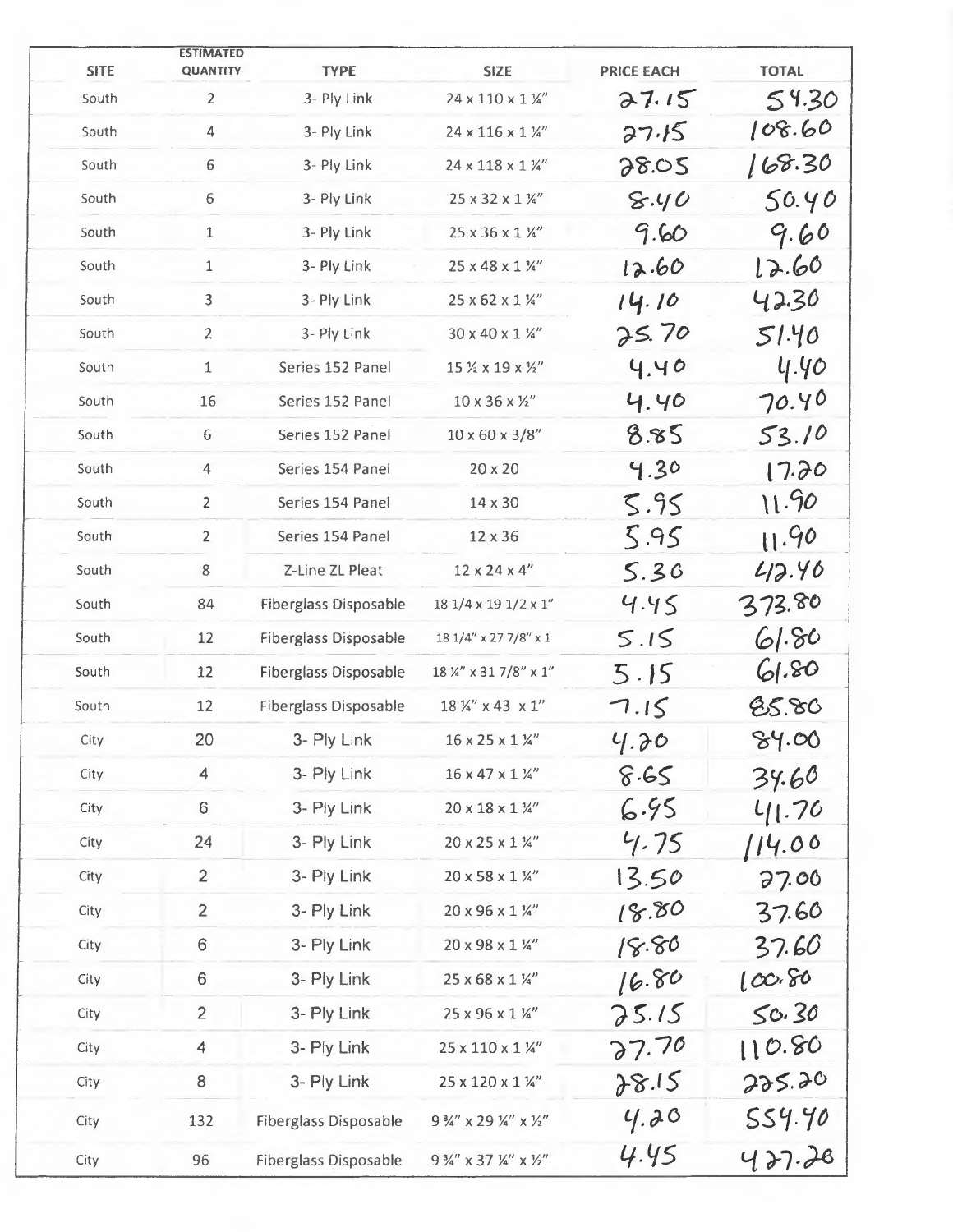| <b>SITE</b> | <b>ESTIMATED</b><br><b>QUANTITY</b> | <b>TYPE</b>                  | <b>SIZE</b>                   | <b>PRICE EACH</b> | <b>TOTAL</b> |
|-------------|-------------------------------------|------------------------------|-------------------------------|-------------------|--------------|
| South       | $\overline{2}$                      | 3- Ply Link                  | 24 x 110 x 1 1/4"             | 27.15             | 54.30        |
| South       | 4                                   | 3- Ply Link                  | $24 \times 116 \times 1$ 1/4" | 27.15             | 108.60       |
| South       | 6                                   | 3- Ply Link                  | 24 x 118 x 1 1/4"             | 28.05             | 168.30       |
| South       | 6                                   | 3- Ply Link                  | 25 x 32 x 1 1/4"              | 8.40              | 50.40        |
| South       | $\mathbf 1$                         | 3- Ply Link                  | 25 x 36 x 1 1/4"              | 9.60              | 9.60         |
| South       | $\mathbf{1}$                        | 3- Ply Link                  | 25 x 48 x 1 1/4"              | 12.60             | 12.60        |
| South       | $\overline{3}$                      | 3- Ply Link                  | 25 x 62 x 1 1/4"              | 14.10             | 42.30        |
| South       | $\overline{2}$                      | 3- Ply Link                  | 30 x 40 x 1 1/4"              | 25.70             | 51.40        |
| South       | $\mathbf{1}$                        | Series 152 Panel             | 15 % x 19 x %"                | 4.40              | 4.40         |
| South       | 16                                  | Series 152 Panel             | $10 \times 36 \times 12''$    | 4.40              | 70.40        |
| South       | 6                                   | Series 152 Panel             | $10 \times 60 \times 3/8$ "   | 8.85              | 53.10        |
| South       | 4                                   | Series 154 Panel             | 20 x 20                       | 4.30              | 17.20        |
| South       | $\overline{2}$                      | Series 154 Panel             | 14 x 30                       | 5.95              | 11.90        |
| South       | $\overline{2}$                      | Series 154 Panel             | 12 x 36                       | 5.95              | 11.90        |
| South       | $\,8\,$                             | Z-Line ZL Pleat              | $12 \times 24 \times 4$ "     | 5.36              | 42.40        |
| South       | 84                                  | <b>Fiberglass Disposable</b> | 18 1/4 x 19 1/2 x 1"          | 4.45              | 373.80       |
| South       | 12                                  | <b>Fiberglass Disposable</b> | 18 1/4" x 27 7/8" x 1         | 5.15              | 61.80        |
| South       | $12$                                | <b>Fiberglass Disposable</b> | 18 %" x 31 7/8" x 1"          | 5.15              | 61.80        |
| South       | 12                                  | Fiberglass Disposable        | 18 1/4" x 43 x 1"             | 7.15              | 85.80        |
| City        | 20                                  | 3- Ply Link                  | 16 x 25 x 1 1/4"              | 4.30              | 84.00        |
| City        | 4                                   | 3- Ply Link                  | 16 x 47 x 1 1/4"              | 8.65              | 34.60        |
| City        | $6\,$                               | 3- Ply Link                  | $20 \times 18 \times 1$ 1/4"  | 6.95              | 41.70        |
| City        | 24                                  | 3- Ply Link                  | 20 x 25 x 1 1/4"              | 4.75              | 114.00       |
| City        | $\overline{2}$                      | 3- Ply Link                  | 20 x 58 x 1 1/4"              | 13.50             | 27.00        |
| City        | $\overline{2}$                      | 3- Ply Link                  | 20 x 96 x 1 1/4"              | 18.80             | 37.60        |
| City        | $\,6\,$                             | 3- Ply Link                  | 20 x 98 x 1 1/4"              | 18.80             | 37.60        |
| City        | 6                                   | 3- Ply Link                  | 25 x 68 x 1 1/4"              | 16.80             | 100.80       |
| City        | $\overline{2}$                      | 3- Ply Link                  | 25 x 96 x 1 1/4"              | 25.15             | 50.30        |
| City        | $\overline{4}$                      | 3- Ply Link                  | 25 x 110 x 1 1/4"             | 27.70             | 110.80       |
| City        | 8                                   | 3- Ply Link                  | 25 x 120 x 1 1/4"             | 28.15             | 225.20       |
| City        | 132                                 | <b>Fiberglass Disposable</b> | 9 %" x 29 %" x %"             | 4.20              | 554.40       |
| City        | 96                                  | <b>Fiberglass Disposable</b> | 9 3/4" x 37 1/4" x 1/2"       | 4.45              | 427.28       |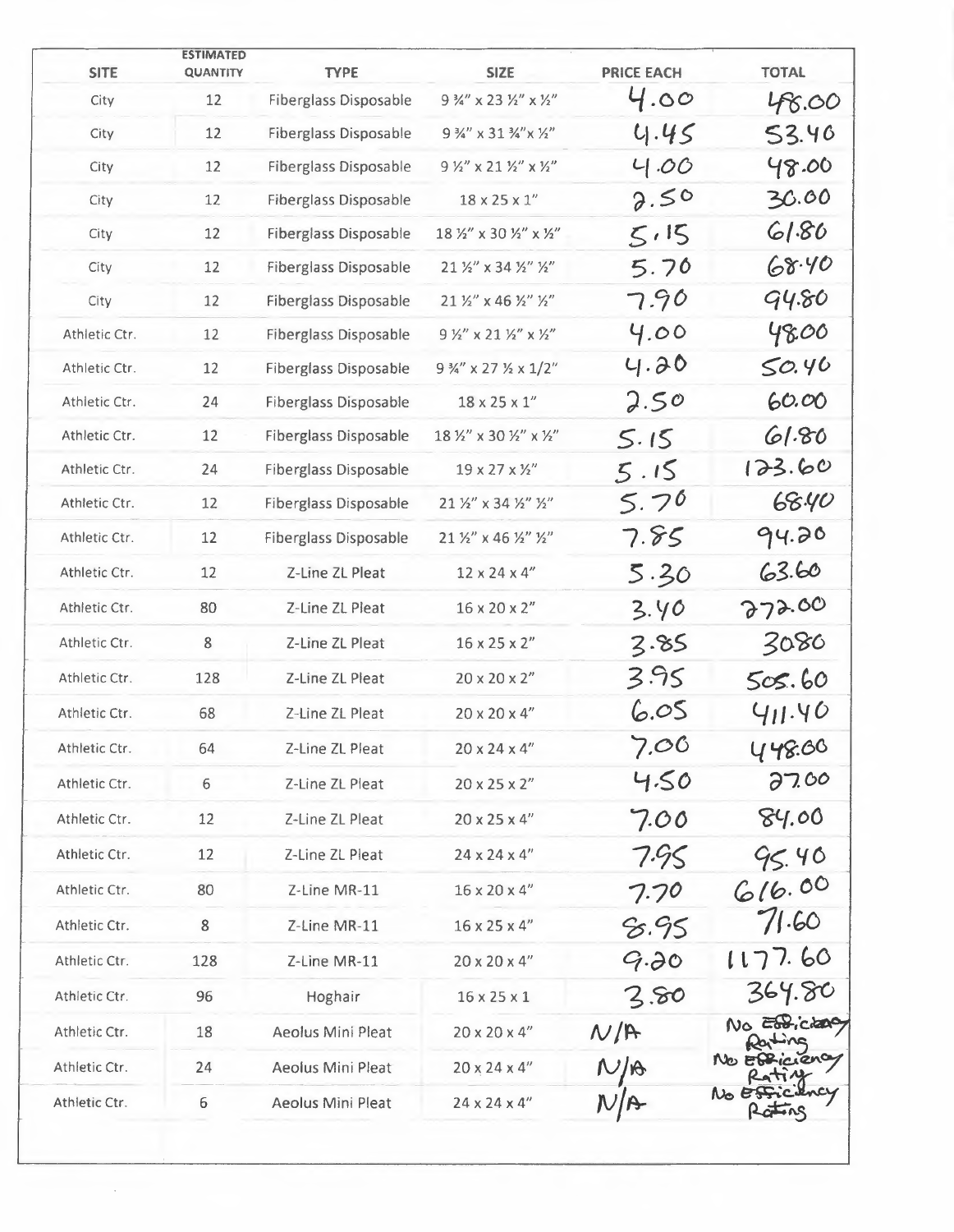| <b>SITE</b>   | <b>ESTIMATED</b><br><b>QUANTITY</b> | <b>TYPE</b>                  | <b>SIZE</b>                                                | <b>PRICE EACH</b> | <b>TOTAL</b>  |
|---------------|-------------------------------------|------------------------------|------------------------------------------------------------|-------------------|---------------|
| City          | 12                                  | <b>Fiberglass Disposable</b> | $9\frac{3}{4}$ " x 23 1/2" x 1/2"                          | 4.00              | 48.00         |
| City          | 12                                  | <b>Fiberglass Disposable</b> | 9 %" x 31 %" x 1/2"                                        | 4.45              | 53.40         |
| City          | 12                                  | <b>Fiberglass Disposable</b> | $9$ $\frac{1}{2}$ " x 21 $\frac{1}{2}$ " x $\frac{1}{2}$ " | 4.00              | 48.00         |
| City          | 12                                  | <b>Fiberglass Disposable</b> | $18 \times 25 \times 1$ "                                  | 2.50              | 30.00         |
| City          | 12                                  | <b>Fiberglass Disposable</b> | 18 1/2" x 30 1/2" x 1/2"                                   | 5.15              | 61.80         |
| City          | 12                                  | Fiberglass Disposable        | 21 1/2" x 34 1/2" 1/2"                                     | 5.70              | 68.40         |
| City          | 12                                  | <b>Fiberglass Disposable</b> | 21 1/2" x 46 1/2" 1/2"                                     | 7.90              | 94.80         |
| Athletic Ctr. | 12                                  | <b>Fiberglass Disposable</b> | $9$ 1/2" x 21 1/2" x 1/2"                                  | 4.00              | 48.00         |
| Athletic Ctr. | 12                                  | <b>Fiberglass Disposable</b> | $9\frac{3}{4}$ " x 27 $\frac{1}{2}$ x 1/2"                 | 4.20              | 50.46         |
| Athletic Ctr. | 24                                  | <b>Fiberglass Disposable</b> | $18 \times 25 \times 1$ "                                  | 2.50              | 60.00         |
| Athletic Ctr. | 12                                  | <b>Fiberglass Disposable</b> | 18 1/2" x 30 1/2" x 1/2"                                   | 5.15              | 61.80         |
| Athletic Ctr. | 24                                  | <b>Fiberglass Disposable</b> | $19 \times 27 \times 12''$                                 | 5.15              | 123.60        |
| Athletic Ctr. | 12                                  | <b>Fiberglass Disposable</b> | 21 1/2" x 34 1/2" 1/2"                                     | 5.70              | 68.40         |
| Athletic Ctr. | 12                                  | <b>Fiberglass Disposable</b> | 21 1/2" x 46 1/2" 1/2"                                     | 7.85              | 94.20         |
| Athletic Ctr. | 12                                  | Z-Line ZL Pleat              | $12 \times 24 \times 4$ "                                  | 5.30              | 63.60         |
| Athletic Ctr. | 80                                  | Z-Line ZL Pleat              | $16 \times 20 \times 2$ "                                  | 3.40              | 272.00        |
| Athletic Ctr. | 8                                   | Z-Line ZL Pleat              | $16 \times 25 \times 2$ "                                  | 3.85              | 3080          |
| Athletic Ctr. | 128                                 | Z-Line ZL Pleat              | $20 \times 20 \times 2$ "                                  | 3.95              | 505.60        |
| Athletic Ctr. | 68                                  | Z-Line ZL Pleat              | $20 \times 20 \times 4$ "                                  | 6.05              | 411.40        |
| Athletic Ctr. | 64                                  | Z-Line ZL Pleat              | $20 \times 24 \times 4$ "                                  | 7.06              | 448.00        |
| Athletic Ctr. | 6                                   | Z-Line ZL Pleat              | 20 x 25 x 2"                                               | 4.50              | 27.00         |
| Athletic Ctr. | 12                                  | Z-Line ZL Pleat              | $20 \times 25 \times 4$ "                                  | 7.00              | 84.00         |
| Athletic Ctr. | 12                                  | Z-Line ZL Pleat              | $24 \times 24 \times 4$ "                                  | 7.95              | 95.40         |
| Athletic Ctr. | 80                                  | Z-Line MR-11                 | 16 x 20 x 4"                                               | 7.70              | 616.00        |
| Athletic Ctr. | 8                                   | Z-Line MR-11                 | 16 x 25 x 4"                                               | 8.95              | 71.60         |
| Athletic Ctr. | 128                                 | Z-Line MR-11                 | $20 \times 20 \times 4$ "                                  | 9.70              | 1177.60       |
| Athletic Ctr. | 96                                  | Hoghair                      | $16 \times 25 \times 1$                                    | 3.80              | 364.80        |
| Athletic Ctr. | 18                                  | Aeolus Mini Pleat            | $20 \times 20 \times 4$ "                                  | N/F               | No Eddiciano  |
| Athletic Ctr. | 24                                  | Aeolus Mini Pleat            | $20 \times 24 \times 4$ "                                  | $N/\beta$         | No Efficiency |
| Athletic Ctr. | 6                                   | Aeolus Mini Pleat            | $24 \times 24 \times 4$ "                                  |                   |               |

 $\overline{\phantom{a}}$